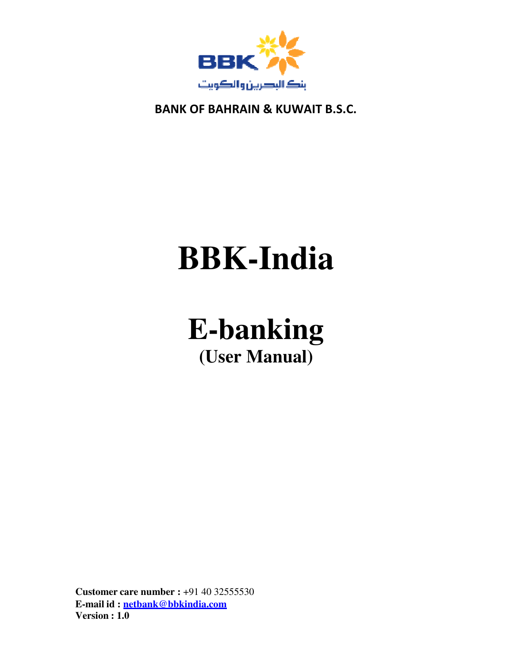

# **BBK-India**

# **E-banking (User Manual)**

**Customer care number :** +91 40 32555530 **E-mail id : netbank@bbkindia.com Version : 1.0**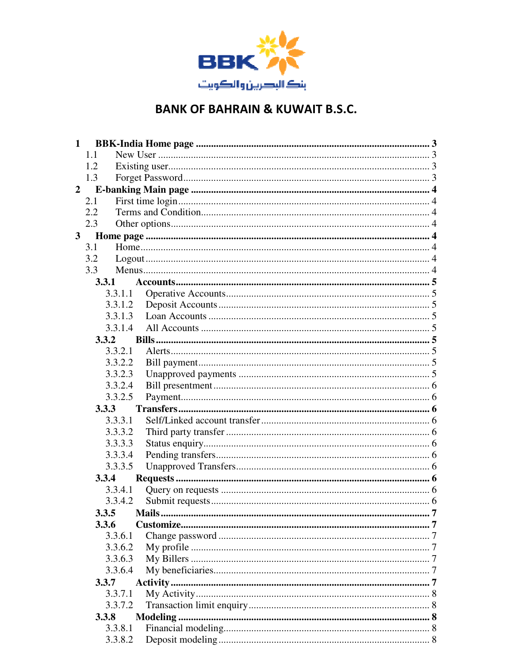

| $\mathbf{1}$   |              |        |        |
|----------------|--------------|--------|--------|
|                | 1.1          |        |        |
|                | 1.2          |        |        |
|                | 1.3          |        |        |
| $\overline{2}$ |              |        |        |
|                | 2.1          |        |        |
|                | 2.2          |        |        |
|                | 2.3          |        |        |
| 3 <sup>1</sup> |              |        |        |
|                | 3.1          |        |        |
|                | 3.2          |        |        |
|                | 3.3          |        |        |
|                | 3.3.1        |        |        |
|                | 3.3.1.1      |        |        |
|                | 3.3.1.2      |        |        |
|                | 3.3.1.3      |        |        |
|                | 3.3.1.4      |        |        |
|                | 3.3.2        |        |        |
|                | 3.3.2.1      |        |        |
|                | 3.3.2.2      |        |        |
|                | 3.3.2.3      |        |        |
|                | 3.3.2.4      |        |        |
|                | 3.3.2.5      |        |        |
|                | 3.3.3        |        |        |
|                | 3.3.3.1      |        |        |
|                | 3.3.3.2      |        |        |
|                | 3.3.3.3      |        |        |
|                | 3.3.3.4      |        |        |
|                | 3.3.3.5      |        |        |
|                | 3.3.4        |        |        |
|                | 3.3.4.1      |        |        |
|                | 3.3.4.2      |        |        |
|                | 3.3.5        | Mails. | $7 \,$ |
|                | <b>3.3.6</b> |        |        |
|                | 3.3.6.1      |        |        |
|                | 3.3.6.2      |        |        |
|                | 3.3.6.3      |        |        |
|                | 3.3.6.4      |        |        |
|                | 3.3.7        |        |        |
|                | 3.3.7.1      |        |        |
|                | 3.3.7.2      |        |        |
|                | 3.3.8        |        |        |
|                | 3.3.8.1      |        |        |
|                | 3.3.8.2      |        |        |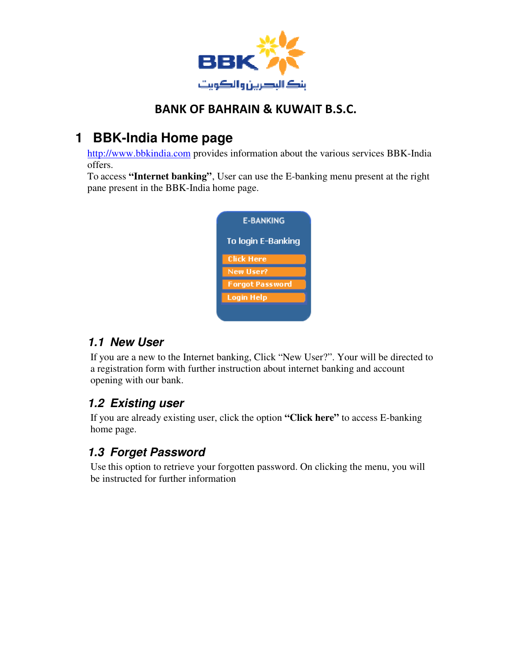

# **1 BBK-India Home page**

http://www.bbkindia.com provides information about the various services BBK-India offers.

To access **"Internet banking"**, User can use the E-banking menu present at the right pane present in the BBK-India home page.

| <b>E-BANKING</b>       |  |  |
|------------------------|--|--|
| To login E-Banking     |  |  |
| Click Here             |  |  |
| New User?              |  |  |
| <b>Forgot Password</b> |  |  |
| Login Help             |  |  |
|                        |  |  |

#### **1.1 New User**

If you are a new to the Internet banking, Click "New User?". Your will be directed to a registration form with further instruction about internet banking and account opening with our bank.

# **1.2 Existing user**

If you are already existing user, click the option **"Click here"** to access E-banking home page.

# **1.3 Forget Password**

Use this option to retrieve your forgotten password. On clicking the menu, you will be instructed for further information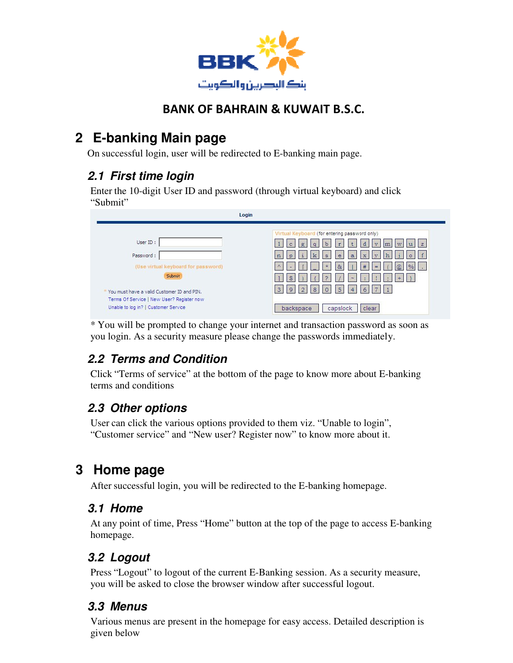

# **2 E-banking Main page**

On successful login, user will be redirected to E-banking main page.

# **2.1 First time login**

Enter the 10-digit User ID and password (through virtual keyboard) and click "Submit"

| Login                                                                                                                                                                                                       |                                                                                                                                                                                                                                                                                                                                                                           |
|-------------------------------------------------------------------------------------------------------------------------------------------------------------------------------------------------------------|---------------------------------------------------------------------------------------------------------------------------------------------------------------------------------------------------------------------------------------------------------------------------------------------------------------------------------------------------------------------------|
| User ID:<br>Password:<br>(Use virtual keyboard for password)<br>Submit<br>* You must have a valid Customer ID and PIN.<br>Terms Of Service   New User? Register now<br>Unable to log in?   Customer Service | Virtual Keyboard (for entering password only)<br>$\mathbf b$<br>d<br>$\mathbb{C}$<br>g<br>$\tau$<br>z<br>a<br>37<br>W<br>l k<br>e<br>s<br>$\alpha$<br>$\overline{\mathbf{x}}$<br>$+ +$<br>$\circledR$<br>妥<br>#<br>B.<br>$\frac{0}{6}$<br>=<br>P<br>Q.<br>$\sim$<br>5<br>6<br>8<br>$\mathcal{D}$<br>$\circ$<br>3<br>9<br>$\overline{4}$<br>capslock<br>backspace<br>clear |

\* You will be prompted to change your internet and transaction password as soon as you login. As a security measure please change the passwords immediately.

# **2.2 Terms and Condition**

Click "Terms of service" at the bottom of the page to know more about E-banking terms and conditions

# **2.3 Other options**

User can click the various options provided to them viz. "Unable to login", "Customer service" and "New user? Register now" to know more about it.

# **3 Home page**

After successful login, you will be redirected to the E-banking homepage.

#### **3.1 Home**

At any point of time, Press "Home" button at the top of the page to access E-banking homepage.

# **3.2 Logout**

Press "Logout" to logout of the current E-Banking session. As a security measure, you will be asked to close the browser window after successful logout.

# **3.3 Menus**

Various menus are present in the homepage for easy access. Detailed description is given below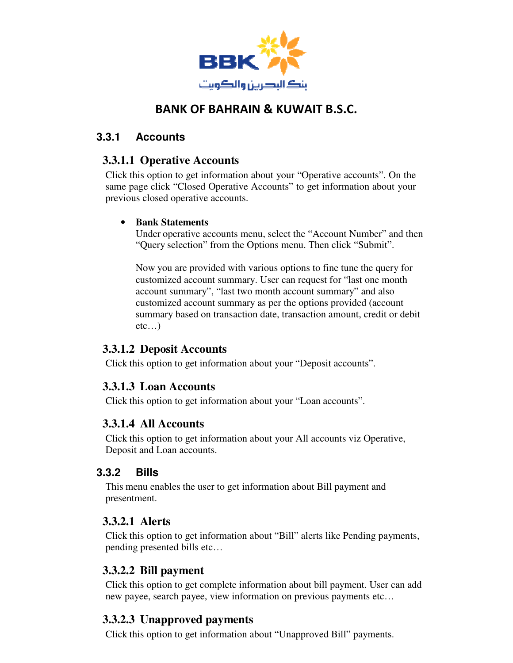

#### **3.3.1 Accounts**

#### **3.3.1.1 Operative Accounts**

Click this option to get information about your "Operative accounts". On the same page click "Closed Operative Accounts" to get information about your previous closed operative accounts.

#### • **Bank Statements**

Under operative accounts menu, select the "Account Number" and then "Query selection" from the Options menu. Then click "Submit".

Now you are provided with various options to fine tune the query for customized account summary. User can request for "last one month account summary", "last two month account summary" and also customized account summary as per the options provided (account summary based on transaction date, transaction amount, credit or debit etc…)

#### **3.3.1.2 Deposit Accounts**

Click this option to get information about your "Deposit accounts".

#### **3.3.1.3 Loan Accounts**

Click this option to get information about your "Loan accounts".

#### **3.3.1.4 All Accounts**

Click this option to get information about your All accounts viz Operative, Deposit and Loan accounts.

#### **3.3.2 Bills**

This menu enables the user to get information about Bill payment and presentment.

#### **3.3.2.1 Alerts**

Click this option to get information about "Bill" alerts like Pending payments, pending presented bills etc…

#### **3.3.2.2 Bill payment**

Click this option to get complete information about bill payment. User can add new payee, search payee, view information on previous payments etc…

#### **3.3.2.3 Unapproved payments**

Click this option to get information about "Unapproved Bill" payments.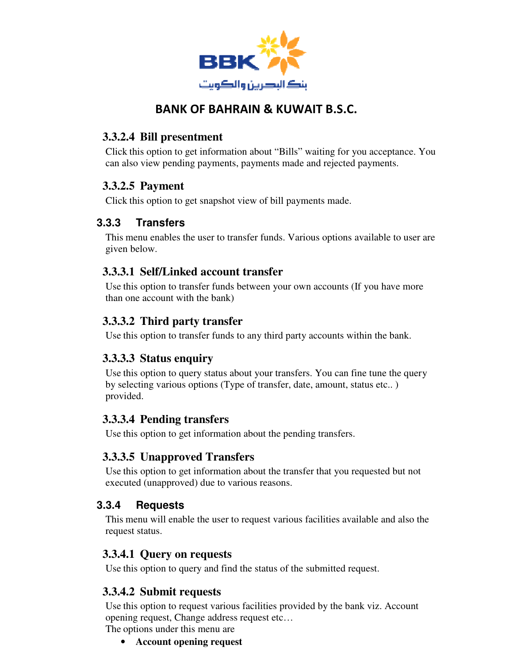

#### **3.3.2.4 Bill presentment**

Click this option to get information about "Bills" waiting for you acceptance. You can also view pending payments, payments made and rejected payments.

#### **3.3.2.5 Payment**

Click this option to get snapshot view of bill payments made.

#### **3.3.3 Transfers**

This menu enables the user to transfer funds. Various options available to user are given below.

#### **3.3.3.1 Self/Linked account transfer**

Use this option to transfer funds between your own accounts (If you have more than one account with the bank)

#### **3.3.3.2 Third party transfer**

Use this option to transfer funds to any third party accounts within the bank.

#### **3.3.3.3 Status enquiry**

Use this option to query status about your transfers. You can fine tune the query by selecting various options (Type of transfer, date, amount, status etc.. ) provided.

#### **3.3.3.4 Pending transfers**

Use this option to get information about the pending transfers.

#### **3.3.3.5 Unapproved Transfers**

Use this option to get information about the transfer that you requested but not executed (unapproved) due to various reasons.

#### **3.3.4 Requests**

This menu will enable the user to request various facilities available and also the request status.

#### **3.3.4.1 Query on requests**

Use this option to query and find the status of the submitted request.

#### **3.3.4.2 Submit requests**

Use this option to request various facilities provided by the bank viz. Account opening request, Change address request etc…

The options under this menu are

• **Account opening request**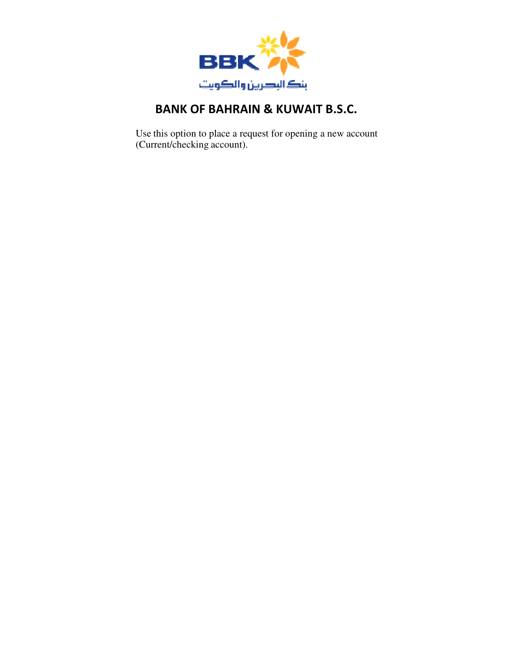

Use this option to place a request for opening a new account (Current/checking account).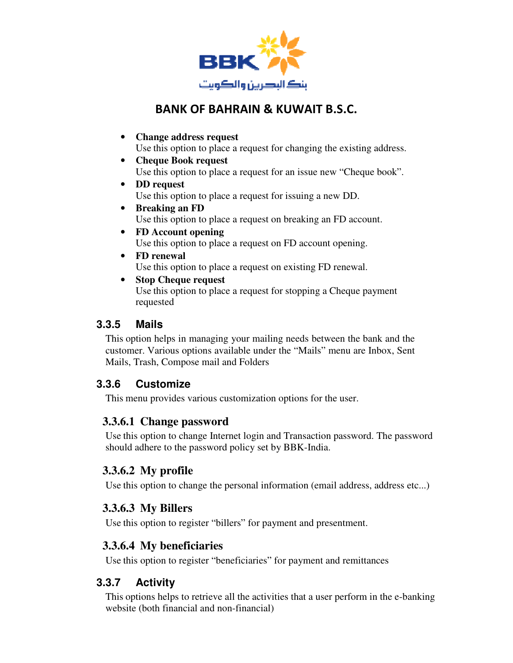

- **Change address request** Use this option to place a request for changing the existing address.
- **Cheque Book request** Use this option to place a request for an issue new "Cheque book".
- **DD request** Use this option to place a request for issuing a new DD.
- **Breaking an FD** Use this option to place a request on breaking an FD account.
- **FD Account opening** Use this option to place a request on FD account opening.
- **FD renewal** Use this option to place a request on existing FD renewal.
- **Stop Cheque request**

Use this option to place a request for stopping a Cheque payment requested

#### **3.3.5 Mails**

This option helps in managing your mailing needs between the bank and the customer. Various options available under the "Mails" menu are Inbox, Sent Mails, Trash, Compose mail and Folders

#### **3.3.6 Customize**

This menu provides various customization options for the user.

# **3.3.6.1 Change password**

Use this option to change Internet login and Transaction password. The password should adhere to the password policy set by BBK-India.

# **3.3.6.2 My profile**

Use this option to change the personal information (email address, address etc...)

# **3.3.6.3 My Billers**

Use this option to register "billers" for payment and presentment.

# **3.3.6.4 My beneficiaries**

Use this option to register "beneficiaries" for payment and remittances

# **3.3.7 Activity**

This options helps to retrieve all the activities that a user perform in the e-banking website (both financial and non-financial)